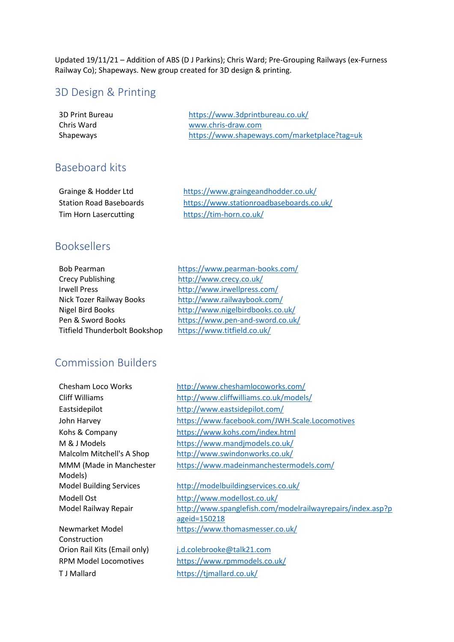Updated 19/11/21 – Addition of ABS (D J Parkins); Chris Ward; Pre-Grouping Railways (ex-Furness Railway Co); Shapeways. New group created for 3D design & printing.

### 3D Design & Printing

| 3D Print Bureau | https://www.3dprintbureau.co.uk/             |
|-----------------|----------------------------------------------|
| Chris Ward      | www.chris-draw.com                           |
| Shapeways       | https://www.shapeways.com/marketplace?tag=uk |

### Baseboard kits

| Grainge & Hodder Ltd           | https://www.graingeandhodder.co.uk/      |
|--------------------------------|------------------------------------------|
| <b>Station Road Baseboards</b> | https://www.stationroadbaseboards.co.uk/ |
| Tim Horn Lasercutting          | https://tim-horn.co.uk/                  |

# Booksellers

| <b>Bob Pearman</b>                   |  |
|--------------------------------------|--|
| <b>Crecy Publishing</b>              |  |
| <b>Irwell Press</b>                  |  |
| Nick Tozer Railway Books             |  |
| <b>Nigel Bird Books</b>              |  |
| Pen & Sword Books                    |  |
| <b>Titfield Thunderbolt Bookshop</b> |  |

<https://www.pearman-books.com/> <http://www.crecy.co.uk/> <http://www.irwellpress.com/> <http://www.railwaybook.com/> <http://www.nigelbirdbooks.co.uk/> <https://www.pen-and-sword.co.uk/> <https://www.titfield.co.uk/>

### Commission Builders

MMM (Made in Manchester Models)

Newmarket Model Construction T J Mallard <https://tjmallard.co.uk/>

Chesham Loco Works <http://www.cheshamlocoworks.com/> Cliff Williams <http://www.cliffwilliams.co.uk/models/> Eastsidepilot <http://www.eastsidepilot.com/> John Harvey <https://www.facebook.com/JWH.Scale.Locomotives> Kohs & Company <https://www.kohs.com/index.html> M & J Models <https://www.mandjmodels.co.uk/> Malcolm Mitchell's A Shop <http://www.swindonworks.co.uk/> <https://www.madeinmanchestermodels.com/>

#### Model Building Services <http://modelbuildingservices.co.uk/>

Modell Ost <http://www.modellost.co.uk/> Model Railway Repair [http://www.spanglefish.com/modelrailwayrepairs/index.asp?p](http://www.spanglefish.com/modelrailwayrepairs/index.asp?pageid=150218) [ageid=150218](http://www.spanglefish.com/modelrailwayrepairs/index.asp?pageid=150218) <https://www.thomasmesser.co.uk/>

Orion Rail Kits (Email only) [j.d.colebrooke@talk21.com](mailto:j.d.colebrooke@talk21.com) RPM Model Locomotives <https://www.rpmmodels.co.uk/>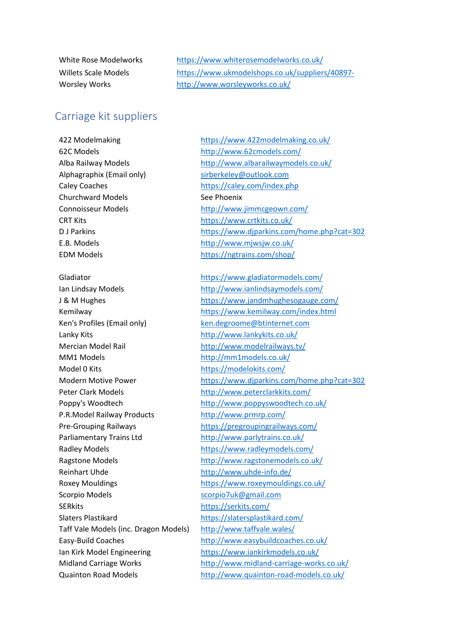White Rose Modelworks <https://www.whiterosemodelworks.co.uk/> Willets Scale Models [https://www.ukmodelshops.co.uk/suppliers/40897](https://www.ukmodelshops.co.uk/suppliers/40897-WilletsScaleModels) Worsley Works <http://www.worsleyworks.co.uk/>

### Carriage kit suppliers

62C Models <http://www.62cmodels.com/> Alphagraphix (Email only) [sirberkeley@outlook.com](https://d.docs.live.net/d2d4d56bcc8208f1/Documents/7mm%20Scale%20Society/sirberkeley@outlook.com) Caley Coaches <https://caley.com/index.php> Churchward Models See Phoenix Connoisseur Models <http://www.jimmcgeown.com/> CRT Kits <https://www.crtkits.co.uk/> E.B. Models <http://www.mjwsjw.co.uk/> EDM Models <https://ngtrains.com/shop/> Ken's Profiles (Email only) [ken.degroome@btinternet.com](mailto:ken.degroome@btinternet.com) Lanky Kits **<http://www.lankykits.co.uk/>** Mercian Model Rail <http://www.modelrailways.tv/> MM1 Models <http://mm1models.co.uk/> Model 0 Kits <https://modelokits.com/> P.R.Model Railway Products <http://www.prmrp.com/> Parliamentary Trains Ltd <http://www.parlytrains.co.uk/> Reinhart Uhde <http://www.uhde-info.de/> Scorpio Models [scorpio7uk@gmail.com](mailto:scorpio7uk@gmail.com) SERkits <https://serkits.com/> Slaters Plastikard <https://slatersplastikard.com/> Taff Vale Models (inc. Dragon Models) <http://www.taffvale.wales/>

422 Modelmaking <https://www.422modelmaking.co.uk/> Alba Railway Models <http://www.albarailwaymodels.co.uk/> D J Parkins <https://www.djparkins.com/home.php?cat=302>

Gladiator <https://www.gladiatormodels.com/> Ian Lindsay Models <http://www.ianlindsaymodels.com/> J & M Hughes <https://www.jandmhughesogauge.com/> Kemilway <https://www.kemilway.com/index.html> Modern Motive Power <https://www.djparkins.com/home.php?cat=302> Peter Clark Models <http://www.peterclarkkits.com/> Poppy's Woodtech <http://www.poppyswoodtech.co.uk/> Pre-Grouping Railways <https://pregroupingrailways.com/> Radley Models **<https://www.radleymodels.com/>** Ragstone Models <http://www.ragstonemodels.co.uk/> Roxey Mouldings <https://www.roxeymouldings.co.uk/> Easy-Build Coaches <http://www.easybuildcoaches.co.uk/> Ian Kirk Model Engineering <https://www.iankirkmodels.co.uk/> Midland Carriage Works <http://www.midland-carriage-works.co.uk/> Quainton Road Models <http://www.quainton-road-models.co.uk/>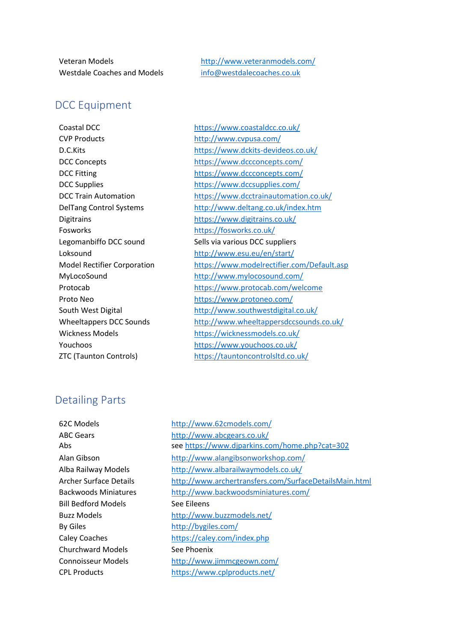Westdale Coaches and Models [info@westdalecoaches.co.uk](mailto:info@westdalecoaches.co.uk)

Veteran Models <http://www.veteranmodels.com/>

# DCC Equipment

CVP Products <http://www.cvpusa.com/> Fosworks <https://fosworks.co.uk/> Proto Neo <https://www.protoneo.com/>

Coastal DCC <https://www.coastaldcc.co.uk/> D.C.Kits <https://www.dckits-devideos.co.uk/> DCC Concepts <https://www.dccconcepts.com/> DCC Fitting <https://www.dccconcepts.com/> DCC Supplies <https://www.dccsupplies.com/> DCC Train Automation <https://www.dcctrainautomation.co.uk/> DelTang Control Systems <http://www.deltang.co.uk/index.htm> Digitrains <https://www.digitrains.co.uk/> Legomanbiffo DCC sound Sells via various DCC suppliers Loksound <http://www.esu.eu/en/start/> Model Rectifier Corporation <https://www.modelrectifier.com/Default.asp> MyLocoSound <http://www.mylocosound.com/> Protocab <https://www.protocab.com/welcome> South West Digital <http://www.southwestdigital.co.uk/> Wheeltappers DCC Sounds <http://www.wheeltappersdccsounds.co.uk/> Wickness Models <https://wicknessmodels.co.uk/> Youchoos <https://www.youchoos.co.uk/> ZTC (Taunton Controls) <https://tauntoncontrolsltd.co.uk/>

# Detailing Parts

Bill Bedford Models See Eileens By Giles <http://bygiles.com/> Churchward Models See Phoenix

62C Models <http://www.62cmodels.com/> ABC Gears <http://www.abcgears.co.uk/> Abs se[e https://www.djparkins.com/home.php?cat=302](https://www.djparkins.com/home.php?cat=302) Alan Gibson <http://www.alangibsonworkshop.com/> Alba Railway Models <http://www.albarailwaymodels.co.uk/> Archer Surface Details <http://www.archertransfers.com/SurfaceDetailsMain.html> Backwoods Miniatures <http://www.backwoodsminiatures.com/> Buzz Models <http://www.buzzmodels.net/> Caley Coaches <https://caley.com/index.php> Connoisseur Models <http://www.jimmcgeown.com/> CPL Products <https://www.cplproducts.net/>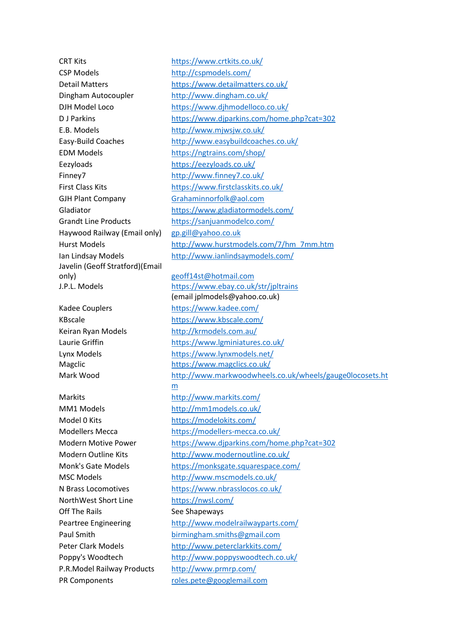CSP Models <http://cspmodels.com/> Dingham Autocoupler <http://www.dingham.co.uk/> E.B. Models <http://www.mjwsjw.co.uk/> EDM Models <https://ngtrains.com/shop/> Eezyloads <https://eezyloads.co.uk/> Finney7 <http://www.finney7.co.uk/> GJH Plant Company [Grahaminnorfolk@aol.com](https://d.docs.live.net/d2d4d56bcc8208f1/Documents/7mm%20Scale%20Society/Grahaminnorfolk@aol.com) Haywood Railway (Email only) [gp.gill@yahoo.co.uk](mailto:gp.gill@yahoo.co.uk) Javelin (Geoff Stratford)(Email only) [geoff14st@hotmail.com](mailto:geoff14st@hotmail.com)

Model 0 Kits <https://modelokits.com/> NorthWest Short Line <https://nwsl.com/> Off The Rails See Shapeways P.R.Model Railway Products <http://www.prmrp.com/> PR Components [roles.pete@googlemail.com](mailto:roles.pete@googlemail.com)

CRT Kits <https://www.crtkits.co.uk/> Detail Matters <https://www.detailmatters.co.uk/> DJH Model Loco <https://www.djhmodelloco.co.uk/> D J Parkins <https://www.djparkins.com/home.php?cat=302> Easy-Build Coaches <http://www.easybuildcoaches.co.uk/> First Class Kits <https://www.firstclasskits.co.uk/> Gladiator <https://www.gladiatormodels.com/> Grandt Line Products <https://sanjuanmodelco.com/> Hurst Models [http://www.hurstmodels.com/7/hm\\_7mm.htm](http://www.hurstmodels.com/7/hm_7mm.htm) Ian Lindsay Models <http://www.ianlindsaymodels.com/>

J.P.L. Models <https://www.ebay.co.uk/str/jpltrains> (email jplmodels@yahoo.co.uk) Kadee Couplers <https://www.kadee.com/> KBscale <https://www.kbscale.com/> Keiran Ryan Models <http://krmodels.com.au/> Laurie Griffin <https://www.lgminiatures.co.uk/> Lynx Models <https://www.lynxmodels.net/> Magclic <https://www.magclics.co.uk/> Mark Wood [http://www.markwoodwheels.co.uk/wheels/gauge0locosets.ht](http://www.markwoodwheels.co.uk/wheels/gauge0locosets.htm) [m](http://www.markwoodwheels.co.uk/wheels/gauge0locosets.htm) Markits <http://www.markits.com/> MM1 Models <http://mm1models.co.uk/> Modellers Mecca <https://modellers-mecca.co.uk/> Modern Motive Power <https://www.djparkins.com/home.php?cat=302> Modern Outline Kits <http://www.modernoutline.co.uk/> Monk's Gate Models <https://monksgate.squarespace.com/> MSC Models <http://www.mscmodels.co.uk/> N Brass Locomotives <https://www.nbrasslocos.co.uk/> Peartree Engineering <http://www.modelrailwayparts.com/> Paul Smith [birmingham.smiths@gmail.com](https://d.docs.live.net/d2d4d56bcc8208f1/Documents/7mm%20Scale%20Society/birmingham.smiths@gmail.com) Peter Clark Models <http://www.peterclarkkits.com/> Poppy's Woodtech <http://www.poppyswoodtech.co.uk/>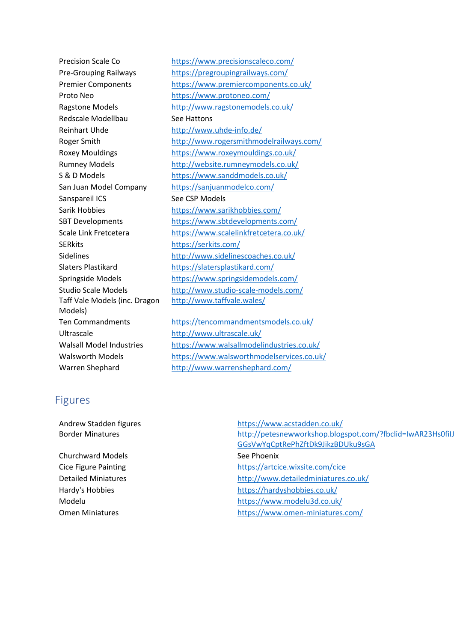Proto Neo <https://www.protoneo.com/> Redscale Modellbau See Hattons Reinhart Uhde <http://www.uhde-info.de/> Sanspareil ICS See CSP Models SERkits <https://serkits.com/> Taff Vale Models (inc. Dragon Models) Ultrascale <http://www.ultrascale.uk/>

Precision Scale Co <https://www.precisionscaleco.com/> Pre-Grouping Railways <https://pregroupingrailways.com/> Premier Components <https://www.premiercomponents.co.uk/> Ragstone Models <http://www.ragstonemodels.co.uk/> Roger Smith <http://www.rogersmithmodelrailways.com/> Roxey Mouldings <https://www.roxeymouldings.co.uk/> Rumney Models <http://website.rumneymodels.co.uk/> S & D Models <https://www.sanddmodels.co.uk/> San Juan Model Company <https://sanjuanmodelco.com/> Sarik Hobbies <https://www.sarikhobbies.com/> SBT Developments <https://www.sbtdevelopments.com/> Scale Link Fretcetera <https://www.scalelinkfretcetera.co.uk/> Sidelines <http://www.sidelinescoaches.co.uk/> Slaters Plastikard <https://slatersplastikard.com/> Springside Models <https://www.springsidemodels.com/> Studio Scale Models <http://www.studio-scale-models.com/> <http://www.taffvale.wales/>

Ten Commandments <https://tencommandmentsmodels.co.uk/> Walsall Model Industries <https://www.walsallmodelindustries.co.uk/> Walsworth Models <https://www.walsworthmodelservices.co.uk/> Warren Shephard <http://www.warrenshephard.com/>

### Figures

Churchward Models **See Phoenix** See Phoenix

Andrew Stadden figures <https://www.acstadden.co.uk/> Border Minatures http://petesnewworkshop.blogspot.com/?fbclid=IwAR23Hs0fiIJ [GGsVwYqCptRePhZftDk9JikzBDUku9sGA](http://petesnewworkshop.blogspot.com/?fbclid=IwAR23Hs0fiIJoCtmG9YXbGYGBT-GGsVwYqCptRePhZftDk9JikzBDUku9sGA) Cice Figure Painting <https://artcice.wixsite.com/cice> Detailed Miniatures <http://www.detailedminiatures.co.uk/> Hardy's Hobbies <https://hardyshobbies.co.uk/> Modelu <https://www.modelu3d.co.uk/> Omen Miniatures <https://www.omen-miniatures.com/>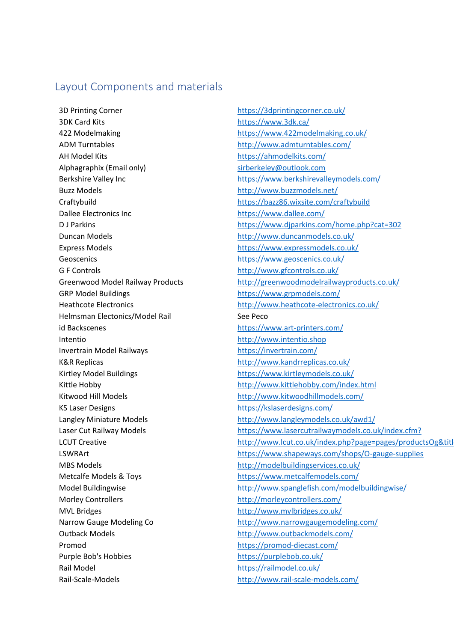### Layout Components and materials

3D Printing Corner <https://3dprintingcorner.co.uk/> 3DK Card Kits <https://www.3dk.ca/> ADM Turntables <http://www.admturntables.com/> AH Model Kits <https://ahmodelkits.com/> Alphagraphix (Email only) and the simulation of the [sirberkeley@outlook.com](https://d.docs.live.net/d2d4d56bcc8208f1/Documents/7mm%20Scale%20Society/sirberkeley@outlook.com) Buzz Models <http://www.buzzmodels.net/> Dallee Electronics Inc <https://www.dallee.com/> Duncan Models **<http://www.duncanmodels.co.uk/>** Express Models <https://www.expressmodels.co.uk/> Geoscenics <https://www.geoscenics.co.uk/> G F Controls **G F Controls** <http://www.gfcontrols.co.uk/> GRP Model Buildings <https://www.grpmodels.com/> Helmsman Electonics/Model Rail See Peco id Backscenes <https://www.art-printers.com/> Intentio [http://www.intentio.shop](http://www.intentio.shop/) Invertrain Model Railways <https://invertrain.com/> K&R Replicas <http://www.kandrreplicas.co.uk/> Kirtley Model Buildings <https://www.kirtleymodels.co.uk/> Kitwood Hill Models <http://www.kitwoodhillmodels.com/> KS Laser Designs descriptions and the state of the <https://kslaserdesigns.com/> MBS Models <http://modelbuildingservices.co.uk/> Metcalfe Models & Toys extending the matrix of the <https://www.metcalfemodels.com/> Morley Controllers <http://morleycontrollers.com/> MVL Bridges <http://www.mvlbridges.co.uk/> Outback Models <http://www.outbackmodels.com/> Promod <https://promod-diecast.com/> Purple Bob's Hobbies <https://purplebob.co.uk/> Rail Model **<https://railmodel.co.uk/>** 

422 Modelmaking <https://www.422modelmaking.co.uk/> Berkshire Valley Inc <https://www.berkshirevalleymodels.com/> Craftybuild <https://bazz86.wixsite.com/craftybuild> D J Parkins <https://www.djparkins.com/home.php?cat=302> Greenwood Model Railway Products <http://greenwoodmodelrailwayproducts.co.uk/> Heathcote Electronics <http://www.heathcote-electronics.co.uk/> Kittle Hobby <http://www.kittlehobby.com/index.html> Langley Miniature Models <http://www.langleymodels.co.uk/awd1/> Laser Cut Railway Models <https://www.lasercutrailwaymodels.co.uk/index.cfm?> LCUT Creative http://www.lcut.co.uk/index.php?page=pages/productsOg&titl LSWRArt <https://www.shapeways.com/shops/O-gauge-supplies> Model Buildingwise <http://www.spanglefish.com/modelbuildingwise/> Narrow Gauge Modeling Co <http://www.narrowgaugemodeling.com/>

Rail-Scale-Models <http://www.rail-scale-models.com/>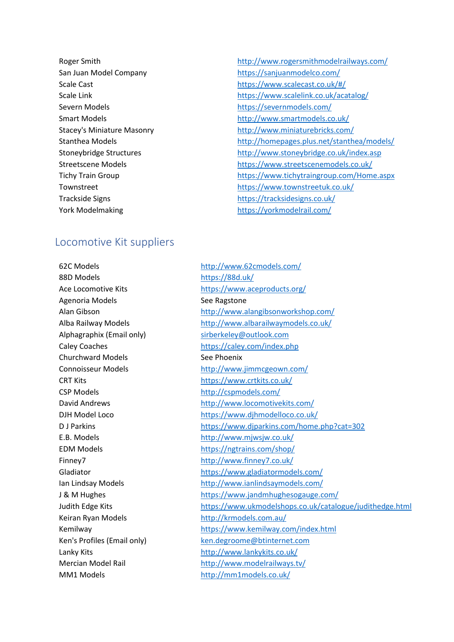- Severn Models <https://severnmodels.com/>
- Roger Smith **<http://www.rogersmithmodelrailways.com/>** San Juan Model Company <https://sanjuanmodelco.com/> Scale Cast [https://www.scalecast.co.uk/#/](https://www.scalecast.co.uk/%23/) Scale Link <https://www.scalelink.co.uk/acatalog/> Smart Models **<http://www.smartmodels.co.uk/>** Stacey's Miniature Masonry <http://www.miniaturebricks.com/> Stanthea Models **<http://homepages.plus.net/stanthea/models/>** Stoneybridge Structures <http://www.stoneybridge.co.uk/index.asp> Streetscene Models <https://www.streetscenemodels.co.uk/> Tichy Train Group <https://www.tichytraingroup.com/Home.aspx> Townstreet <https://www.townstreetuk.co.uk/> Trackside Signs <https://tracksidesigns.co.uk/> York Modelmaking <https://yorkmodelrail.com/>

### Locomotive Kit suppliers

62C Models <http://www.62cmodels.com/> 88D Models <https://88d.uk/> Agenoria Models **See Ragstone** Alphagraphix (Email only) [sirberkeley@outlook.com](https://d.docs.live.net/d2d4d56bcc8208f1/Documents/7mm%20Scale%20Society/sirberkeley@outlook.com) Churchward Models See Phoenix CSP Models <http://cspmodels.com/> Keiran Ryan Models **<http://krmodels.com.au/>** 

Ace Locomotive Kits <https://www.aceproducts.org/> Alan Gibson <http://www.alangibsonworkshop.com/> Alba Railway Models <http://www.albarailwaymodels.co.uk/> Caley Coaches <https://caley.com/index.php> Connoisseur Models <http://www.jimmcgeown.com/> CRT Kits <https://www.crtkits.co.uk/> David Andrews <http://www.locomotivekits.com/> DJH Model Loco https://www.dihmodelloco.co.uk/ D J Parkins <https://www.djparkins.com/home.php?cat=302> E.B. Models <http://www.mjwsjw.co.uk/> EDM Models <https://ngtrains.com/shop/> Finney7 <http://www.finney7.co.uk/> Gladiator <https://www.gladiatormodels.com/> Ian Lindsay Models <http://www.ianlindsaymodels.com/> J & M Hughes <https://www.jandmhughesogauge.com/> Judith Edge Kits <https://www.ukmodelshops.co.uk/catalogue/judithedge.html> Kemilway <https://www.kemilway.com/index.html> Ken's Profiles (Email only) [ken.degroome@btinternet.com](mailto:ken.degroome@btinternet.com) Lanky Kits **<http://www.lankykits.co.uk/>** Mercian Model Rail <http://www.modelrailways.tv/> MM1 Models <http://mm1models.co.uk/>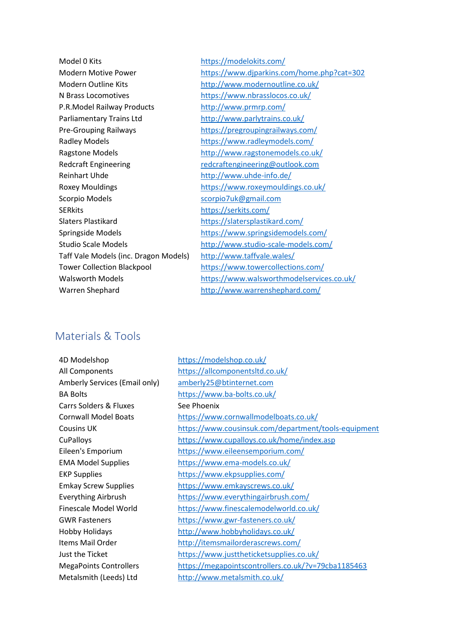Model 0 Kits <https://modelokits.com/> Modern Outline Kits <http://www.modernoutline.co.uk/> N Brass Locomotives <https://www.nbrasslocos.co.uk/> P.R.Model Railway Products <http://www.prmrp.com/> Parliamentary Trains Ltd <http://www.parlytrains.co.uk/> Pre-Grouping Railways <https://pregroupingrailways.com/> Radley Models <https://www.radleymodels.com/> Ragstone Models <http://www.ragstonemodels.co.uk/> Redcraft Engineering [redcraftengineering@outlook.com](mailto:redcraftengineering@outlook.com) Reinhart Uhde <http://www.uhde-info.de/> Scorpio Models [scorpio7uk@gmail.com](mailto:scorpio7uk@gmail.com) SERkits <https://serkits.com/> Slaters Plastikard <https://slatersplastikard.com/> Taff Vale Models (inc. Dragon Models) <http://www.taffvale.wales/> Tower Collection Blackpool <https://www.towercollections.com/> Warren Shephard <http://www.warrenshephard.com/>

Modern Motive Power <https://www.djparkins.com/home.php?cat=302> Roxey Mouldings <https://www.roxeymouldings.co.uk/> Springside Models <https://www.springsidemodels.com/> Studio Scale Models <http://www.studio-scale-models.com/> Walsworth Models <https://www.walsworthmodelservices.co.uk/>

# Materials & Tools

| 4D Modelshop                      | https://modelshop.co.uk/                             |
|-----------------------------------|------------------------------------------------------|
| All Components                    | https://allcomponentsltd.co.uk/                      |
| Amberly Services (Email only)     | amberly25@btinternet.com                             |
| <b>BA Bolts</b>                   | https://www.ba-bolts.co.uk/                          |
| <b>Carrs Solders &amp; Fluxes</b> | See Phoenix                                          |
| <b>Cornwall Model Boats</b>       | https://www.cornwallmodelboats.co.uk/                |
| <b>Cousins UK</b>                 | https://www.cousinsuk.com/department/tools-equipment |
| <b>CuPalloys</b>                  | https://www.cupalloys.co.uk/home/index.asp           |
| Eileen's Emporium                 | https://www.eileensemporium.com/                     |
| <b>EMA Model Supplies</b>         | https://www.ema-models.co.uk/                        |
| <b>EKP Supplies</b>               | https://www.ekpsupplies.com/                         |
| <b>Emkay Screw Supplies</b>       | https://www.emkayscrews.co.uk/                       |
| <b>Everything Airbrush</b>        | https://www.everythingairbrush.com/                  |
| Finescale Model World             | https://www.finescalemodelworld.co.uk/               |
| <b>GWR Fasteners</b>              | https://www.gwr-fasteners.co.uk/                     |
| <b>Hobby Holidays</b>             | http://www.hobbyholidays.co.uk/                      |
| Items Mail Order                  | http://itemsmailorderascrews.com/                    |
| Just the Ticket                   | https://www.justtheticketsupplies.co.uk/             |
| <b>MegaPoints Controllers</b>     | https://megapointscontrollers.co.uk/?v=79cba1185463  |
| Metalsmith (Leeds) Ltd            | http://www.metalsmith.co.uk/                         |
|                                   |                                                      |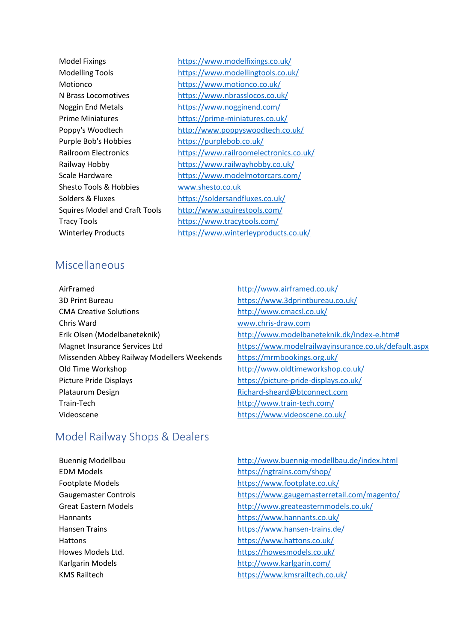Purple Bob's Hobbies <https://purplebob.co.uk/> Shesto Tools & Hobbies [www.shesto.co.uk](http://www.shesto.co.uk/)

Model Fixings <https://www.modelfixings.co.uk/> Modelling Tools <https://www.modellingtools.co.uk/> Motionco <https://www.motionco.co.uk/> N Brass Locomotives <https://www.nbrasslocos.co.uk/> Noggin End Metals <https://www.nogginend.com/> Prime Miniatures <https://prime-miniatures.co.uk/> Poppy's Woodtech <http://www.poppyswoodtech.co.uk/> Railroom Electronics <https://www.railroomelectronics.co.uk/> Railway Hobby <https://www.railwayhobby.co.uk/> Scale Hardware <https://www.modelmotorcars.com/> Solders & Fluxes <https://soldersandfluxes.co.uk/> Squires Model and Craft Tools <http://www.squirestools.com/> Tracy Tools <https://www.tracytools.com/> Winterley Products <https://www.winterleyproducts.co.uk/>

# **Miscellaneous**

- AirFramed <http://www.airframed.co.uk/> 3D Print Bureau <https://www.3dprintbureau.co.uk/> CMA Creative Solutions <http://www.cmacsl.co.uk/> Chris Ward [www.chris-draw.com](http://www.chris-draw.com/) Erik Olsen (Modelbaneteknik) [http://www.modelbaneteknik.dk/index-e.htm#](http://www.modelbaneteknik.dk/index-e.htm%23) Missenden Abbey Railway Modellers Weekends <https://mrmbookings.org.uk/> Old Time Workshop **<http://www.oldtimeworkshop.co.uk/>** Picture Pride Displays <https://picture-pride-displays.co.uk/> Plataurum Design **[Richard-sheard@btconnect.com](mailto:Richard-sheard@btconnect.com)** Train-Tech <http://www.train-tech.com/> Videoscene <https://www.videoscene.co.uk/>
- Magnet Insurance Services Ltd <https://www.modelrailwayinsurance.co.uk/default.aspx>

# Model Railway Shops & Dealers

- 
- Buennig Modellbau <http://www.buennig-modellbau.de/index.html> EDM Models <https://ngtrains.com/shop/> Footplate Models <https://www.footplate.co.uk/> Gaugemaster Controls <https://www.gaugemasterretail.com/magento/> Great Eastern Models **<http://www.greateasternmodels.co.uk/>** Hannants <https://www.hannants.co.uk/> Hansen Trains <https://www.hansen-trains.de/> Hattons <https://www.hattons.co.uk/> Howes Models Ltd. <https://howesmodels.co.uk/> Karlgarin Models **<http://www.karlgarin.com/>** KMS Railtech <https://www.kmsrailtech.co.uk/>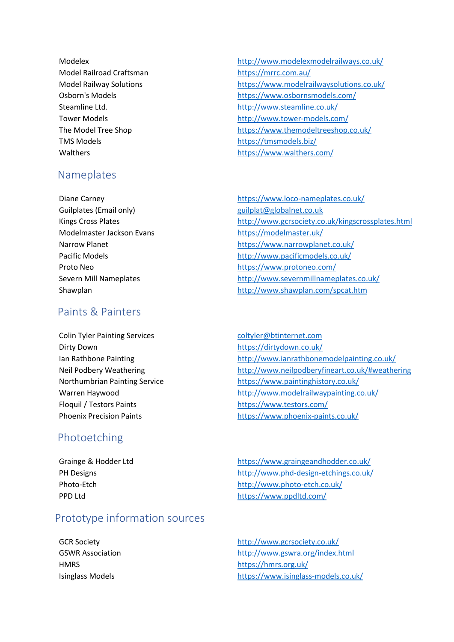Model Railroad Craftsman <https://mrrc.com.au/> TMS Models <https://tmsmodels.biz/>

# Nameplates

Guilplates (Email only) example and the summary [guilplat@globalnet.co.uk](mailto:guilplat@globalnet.co.uk) Modelmaster Jackson Evans <https://modelmaster.uk/>

# Paints & Painters

Colin Tyler Painting Services coltyler@btinternet.com Dirty Down <https://dirtydown.co.uk/> Floquil / Testors Paints <https://www.testors.com/>

# Photoetching

# Prototype information sources

- Modelex <http://www.modelexmodelrailways.co.uk/> Model Railway Solutions <https://www.modelrailwaysolutions.co.uk/> Osborn's Models <https://www.osbornsmodels.com/> Steamline Ltd. <http://www.steamline.co.uk/> Tower Models **http://www.tower-models.com/** The Model Tree Shop <https://www.themodeltreeshop.co.uk/> Walthers <https://www.walthers.com/>
- Diane Carney <https://www.loco-nameplates.co.uk/> Kings Cross Plates <http://www.gcrsociety.co.uk/kingscrossplates.html> Narrow Planet **<https://www.narrowplanet.co.uk/>** Pacific Models <http://www.pacificmodels.co.uk/> Proto Neo <https://www.protoneo.com/> Severn Mill Nameplates <http://www.severnmillnameplates.co.uk/> Shawplan <http://www.shawplan.com/spcat.htm>
- Ian Rathbone Painting **<http://www.ianrathbonemodelpainting.co.uk/>** Neil Podbery Weathering <http://www.neilpodberyfineart.co.uk/#weathering> Northumbrian Painting Service <https://www.paintinghistory.co.uk/> Warren Haywood <http://www.modelrailwaypainting.co.uk/> Phoenix Precision Paints <https://www.phoenix-paints.co.uk/>
- Grainge & Hodder Ltd <https://www.graingeandhodder.co.uk/> PH Designs <http://www.phd-design-etchings.co.uk/> Photo-Etch <http://www.photo-etch.co.uk/> PPD Ltd <https://www.ppdltd.com/>
- GCR Society http://www.gcrsociety.co.uk/ GSWR Association **<http://www.gswra.org/index.html>** HMRS <https://hmrs.org.uk/> Isinglass Models <https://www.isinglass-models.co.uk/>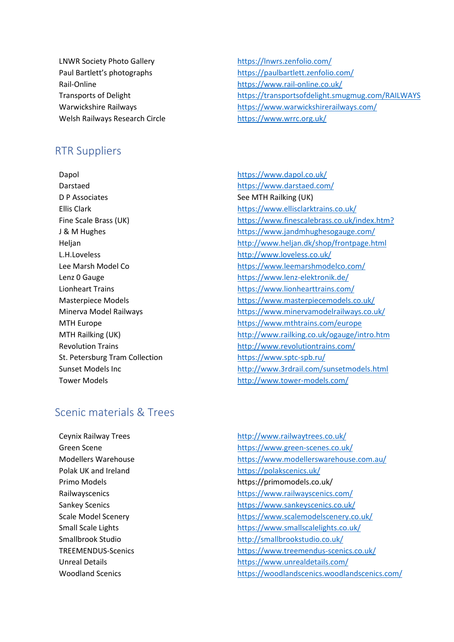LNWR Society Photo Gallery https://lnwrs.zenfolio.com/ Rail-Online <https://www.rail-online.co.uk/> Welsh Railways Research Circle <https://www.wrrc.org.uk/>

# RTR Suppliers

Darstaed <https://www.darstaed.com/> D P Associates See MTH Railking (UK) L.H.Loveless <http://www.loveless.co.uk/> St. Petersburg Tram Collection <https://www.sptc-spb.ru/>

Paul Bartlett's photographs <https://paulbartlett.zenfolio.com/> Transports of Delight https://transportsofdelight.smugmug.com/RAILWAYS Warwickshire Railways https://www.warwickshirerailways.com/

Dapol **Dapol Dapol CONFINGLER Dapol CONFINGLER Dapol CONFINGLER Dapol CONFINGLER Dapol CONFINGLER Dapol CONFINGLER Dapol CONFINGLER Dapol CONFINGLER Dapol CONFINGLER Dapol CONFINGLER** Ellis Clark <https://www.ellisclarktrains.co.uk/> Fine Scale Brass (UK) <https://www.finescalebrass.co.uk/index.htm?> J & M Hughes <https://www.jandmhughesogauge.com/> Heljan <http://www.heljan.dk/shop/frontpage.html> Lee Marsh Model Co <https://www.leemarshmodelco.com/> Lenz 0 Gauge <https://www.lenz-elektronik.de/> Lionheart Trains <https://www.lionhearttrains.com/> Masterpiece Models <https://www.masterpiecemodels.co.uk/> Minerva Model Railways <https://www.minervamodelrailways.co.uk/> MTH Europe **<https://www.mthtrains.com/europe>** MTH Railking (UK) <http://www.railking.co.uk/ogauge/intro.htm> Revolution Trains <http://www.revolutiontrains.com/> Sunset Models Inc <http://www.3rdrail.com/sunsetmodels.html> Tower Models **<http://www.tower-models.com/>** 

# Scenic materials & Trees

Ceynix Railway Trees <http://www.railwaytrees.co.uk/> Green Scene **<https://www.green-scenes.co.uk/>** Modellers Warehouse <https://www.modellerswarehouse.com.au/> Polak UK and Ireland <https://polakscenics.uk/> Primo Models https://primomodels.co.uk/ Railwayscenics <https://www.railwayscenics.com/> Sankey Scenics **<https://www.sankeyscenics.co.uk/>** Scale Model Scenery <https://www.scalemodelscenery.co.uk/> Small Scale Lights <https://www.smallscalelights.co.uk/> Smallbrook Studio <http://smallbrookstudio.co.uk/> TREEMENDUS-Scenics <https://www.treemendus-scenics.co.uk/> Unreal Details **<https://www.unrealdetails.com/>** Woodland Scenics <https://woodlandscenics.woodlandscenics.com/>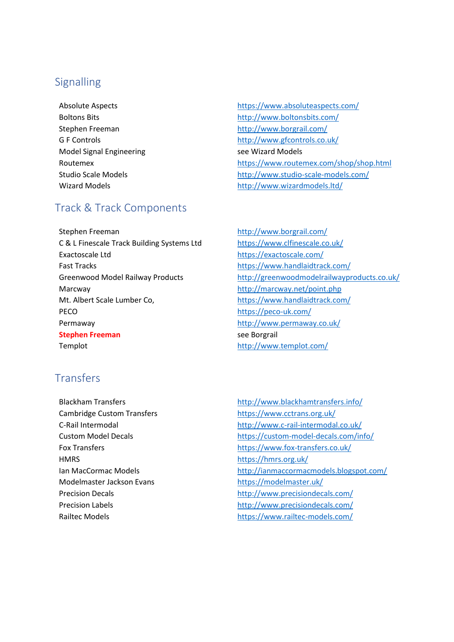# **Signalling**

Model Signal Engineering see Wizard Models

# Track & Track Components

Stephen Freeman <http://www.borgrail.com/> C & L Finescale Track Building Systems Ltd <https://www.clfinescale.co.uk/> Exactoscale Ltd <https://exactoscale.com/> Fast Tracks <https://www.handlaidtrack.com/> Marcway <http://marcway.net/point.php> Mt. Albert Scale Lumber Co, <https://www.handlaidtrack.com/> PECO <https://peco-uk.com/> Permaway <http://www.permaway.co.uk/> **Stephen Freeman** see Borgrail Templot **<http://www.templot.com/>** 

# **Transfers**

Cambridge Custom Transfers <https://www.cctrans.org.uk/> HMRS https://hmrs.org.uk/ Modelmaster Jackson Evans <https://modelmaster.uk/>

- Absolute Aspects <https://www.absoluteaspects.com/> Boltons Bits <http://www.boltonsbits.com/> Stephen Freeman <http://www.borgrail.com/> G F Controls **G** F Controls **<http://www.gfcontrols.co.uk/>** Routemex <https://www.routemex.com/shop/shop.html> Studio Scale Models <http://www.studio-scale-models.com/> Wizard Models **<http://www.wizardmodels.ltd/>**
- Greenwood Model Railway Products <http://greenwoodmodelrailwayproducts.co.uk/>
- Blackham Transfers **<http://www.blackhamtransfers.info/>** C-Rail Intermodal <http://www.c-rail-intermodal.co.uk/> Custom Model Decals <https://custom-model-decals.com/info/> Fox Transfers <https://www.fox-transfers.co.uk/> Ian MacCormac Models <http://ianmaccormacmodels.blogspot.com/> Precision Decals <http://www.precisiondecals.com/> Precision Labels <http://www.precisiondecals.com/> Railtec Models <https://www.railtec-models.com/>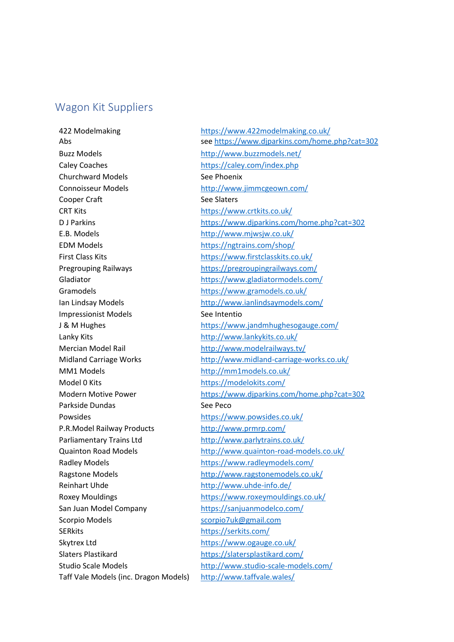### Wagon Kit Suppliers

422 Modelmaking <https://www.422modelmaking.co.uk/> Buzz Models <http://www.buzzmodels.net/> Caley Coaches <https://caley.com/index.php> Churchward Models See Phoenix Connoisseur Models <http://www.jimmcgeown.com/> Cooper Craft See Slaters CRT Kits <https://www.crtkits.co.uk/> E.B. Models <http://www.mjwsjw.co.uk/> EDM Models <https://ngtrains.com/shop/> Gramodels <https://www.gramodels.co.uk/> Impressionist Models See Intentio Lanky Kits **<http://www.lankykits.co.uk/>** Mercian Model Rail <http://www.modelrailways.tv/> MM1 Models <http://mm1models.co.uk/> Model 0 Kits <https://modelokits.com/> Parkside Dundas See Peco Powsides <https://www.powsides.co.uk/> P.R.Model Railway Products <http://www.prmrp.com/> Parliamentary Trains Ltd <http://www.parlytrains.co.uk/> Reinhart Uhde <http://www.uhde-info.de/> San Juan Model Company <https://sanjuanmodelco.com/> Scorpio Models [scorpio7uk@gmail.com](mailto:scorpio7uk@gmail.com) SERkits <https://serkits.com/> Skytrex Ltd <https://www.ogauge.co.uk/> Slaters Plastikard <https://slatersplastikard.com/> Taff Vale Models (inc. Dragon Models) <http://www.taffvale.wales/>

Abs see<https://www.djparkins.com/home.php?cat=302> D J Parkins <https://www.djparkins.com/home.php?cat=302> First Class Kits <https://www.firstclasskits.co.uk/> Pregrouping Railways <https://pregroupingrailways.com/> Gladiator <https://www.gladiatormodels.com/> Ian Lindsay Models <http://www.ianlindsaymodels.com/> J & M Hughes <https://www.jandmhughesogauge.com/> Midland Carriage Works <http://www.midland-carriage-works.co.uk/> Modern Motive Power <https://www.djparkins.com/home.php?cat=302> Quainton Road Models <http://www.quainton-road-models.co.uk/> Radley Models <https://www.radleymodels.com/> Ragstone Models <http://www.ragstonemodels.co.uk/> Roxey Mouldings <https://www.roxeymouldings.co.uk/> Studio Scale Models <http://www.studio-scale-models.com/>